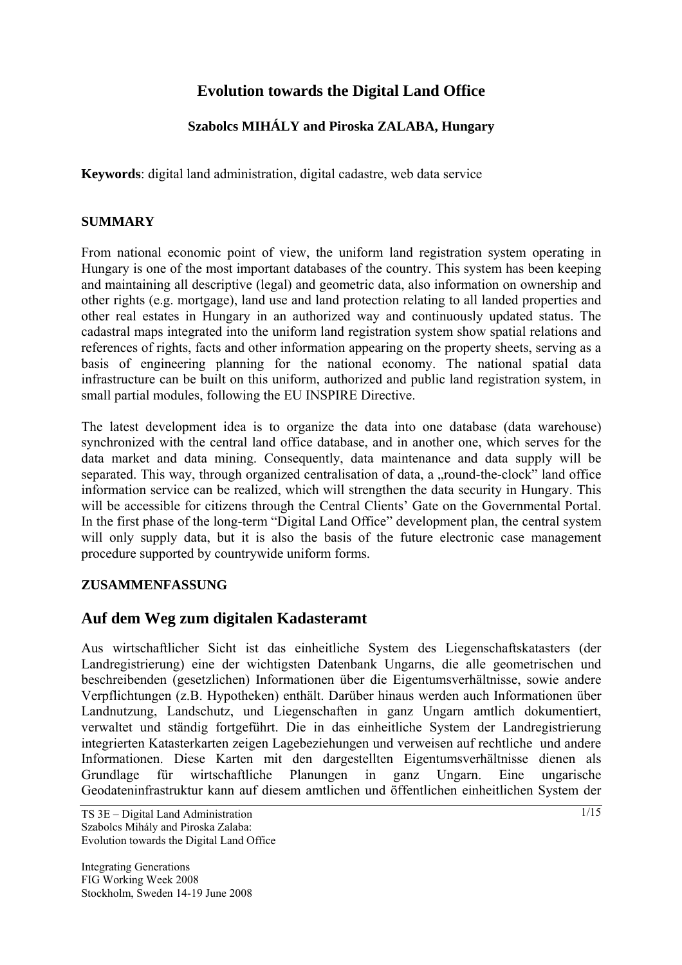# **Evolution towards the Digital Land Office**

## **Szabolcs MIHÁLY and Piroska ZALABA, Hungary**

**Keywords**: digital land administration, digital cadastre, web data service

#### **SUMMARY**

From national economic point of view, the uniform land registration system operating in Hungary is one of the most important databases of the country. This system has been keeping and maintaining all descriptive (legal) and geometric data, also information on ownership and other rights (e.g. mortgage), land use and land protection relating to all landed properties and other real estates in Hungary in an authorized way and continuously updated status. The cadastral maps integrated into the uniform land registration system show spatial relations and references of rights, facts and other information appearing on the property sheets, serving as a basis of engineering planning for the national economy. The national spatial data infrastructure can be built on this uniform, authorized and public land registration system, in small partial modules, following the EU INSPIRE Directive.

The latest development idea is to organize the data into one database (data warehouse) synchronized with the central land office database, and in another one, which serves for the data market and data mining. Consequently, data maintenance and data supply will be separated. This way, through organized centralisation of data, a "round-the-clock" land office information service can be realized, which will strengthen the data security in Hungary. This will be accessible for citizens through the Central Clients' Gate on the Governmental Portal. In the first phase of the long-term "Digital Land Office" development plan, the central system will only supply data, but it is also the basis of the future electronic case management procedure supported by countrywide uniform forms.

#### **ZUSAMMENFASSUNG**

## **Auf dem Weg zum digitalen Kadasteramt**

Aus wirtschaftlicher Sicht ist das einheitliche System des Liegenschaftskatasters (der Landregistrierung) eine der wichtigsten Datenbank Ungarns, die alle geometrischen und beschreibenden (gesetzlichen) Informationen über die Eigentumsverhältnisse, sowie andere Verpflichtungen (z.B. Hypotheken) enthält. Darüber hinaus werden auch Informationen über Landnutzung, Landschutz, und Liegenschaften in ganz Ungarn amtlich dokumentiert, verwaltet und ständig fortgeführt. Die in das einheitliche System der Landregistrierung integrierten Katasterkarten zeigen Lagebeziehungen und verweisen auf rechtliche und andere Informationen. Diese Karten mit den dargestellten Eigentumsverhältnisse dienen als Grundlage für wirtschaftliche Planungen in ganz Ungarn. Eine ungarische Geodateninfrastruktur kann auf diesem amtlichen und öffentlichen einheitlichen System der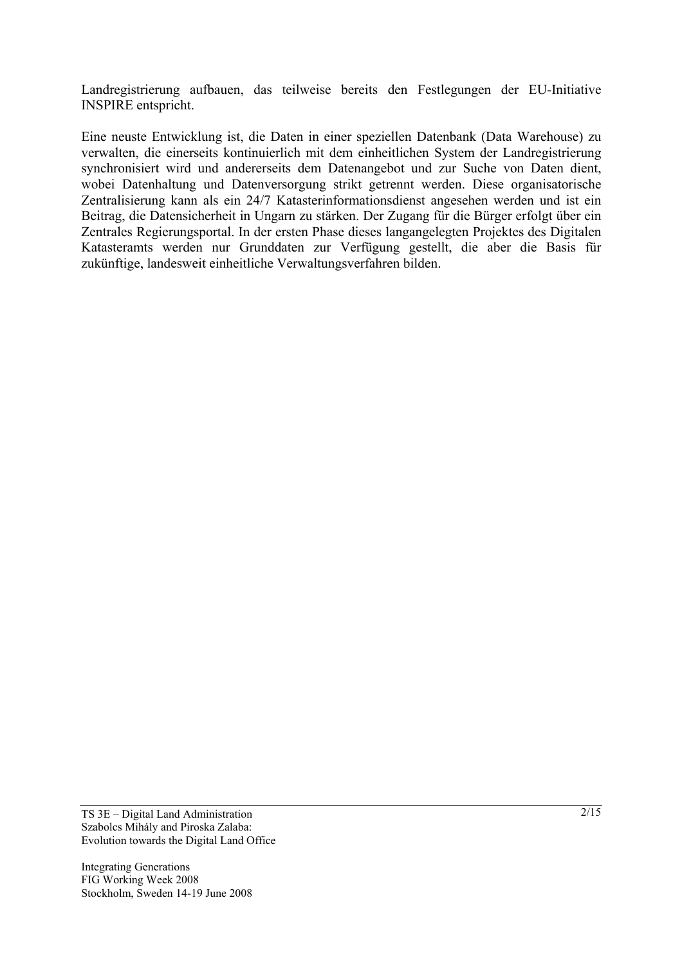Landregistrierung aufbauen, das teilweise bereits den Festlegungen der EU-Initiative INSPIRE entspricht.

Eine neuste Entwicklung ist, die Daten in einer speziellen Datenbank (Data Warehouse) zu verwalten, die einerseits kontinuierlich mit dem einheitlichen System der Landregistrierung synchronisiert wird und andererseits dem Datenangebot und zur Suche von Daten dient, wobei Datenhaltung und Datenversorgung strikt getrennt werden. Diese organisatorische Zentralisierung kann als ein 24/7 Katasterinformationsdienst angesehen werden und ist ein Beitrag, die Datensicherheit in Ungarn zu stärken. Der Zugang für die Bürger erfolgt über ein Zentrales Regierungsportal. In der ersten Phase dieses langangelegten Projektes des Digitalen Katasteramts werden nur Grunddaten zur Verfügung gestellt, die aber die Basis für zukünftige, landesweit einheitliche Verwaltungsverfahren bilden.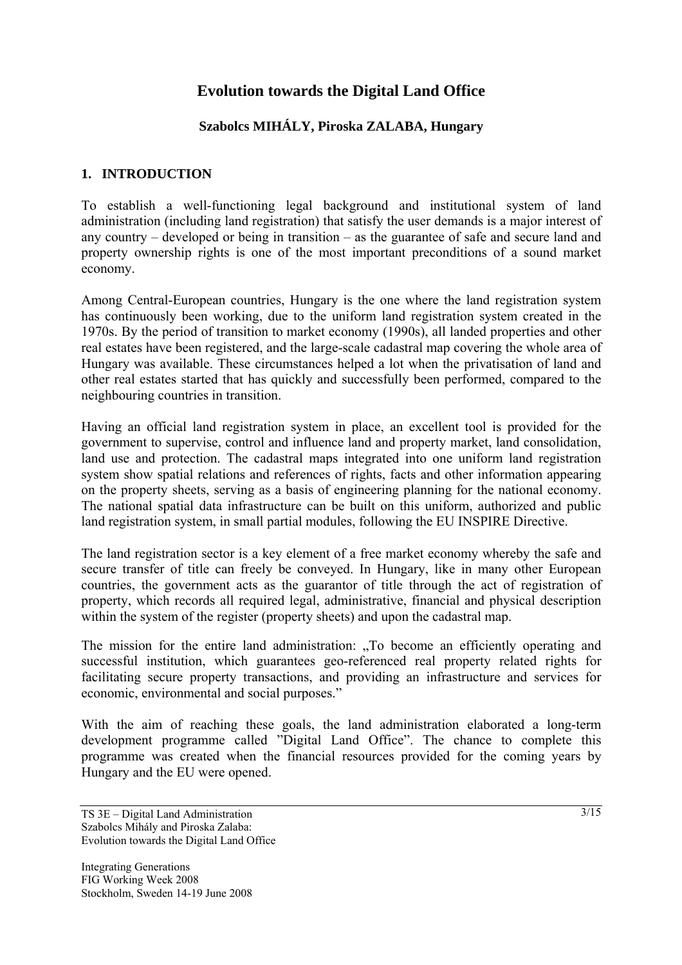# **Evolution towards the Digital Land Office**

## **Szabolcs MIHÁLY, Piroska ZALABA, Hungary**

## **1. INTRODUCTION**

To establish a well-functioning legal background and institutional system of land administration (including land registration) that satisfy the user demands is a major interest of any country – developed or being in transition – as the guarantee of safe and secure land and property ownership rights is one of the most important preconditions of a sound market economy.

Among Central-European countries, Hungary is the one where the land registration system has continuously been working, due to the uniform land registration system created in the 1970s. By the period of transition to market economy (1990s), all landed properties and other real estates have been registered, and the large-scale cadastral map covering the whole area of Hungary was available. These circumstances helped a lot when the privatisation of land and other real estates started that has quickly and successfully been performed, compared to the neighbouring countries in transition.

Having an official land registration system in place, an excellent tool is provided for the government to supervise, control and influence land and property market, land consolidation, land use and protection. The cadastral maps integrated into one uniform land registration system show spatial relations and references of rights, facts and other information appearing on the property sheets, serving as a basis of engineering planning for the national economy. The national spatial data infrastructure can be built on this uniform, authorized and public land registration system, in small partial modules, following the EU INSPIRE Directive.

The land registration sector is a key element of a free market economy whereby the safe and secure transfer of title can freely be conveyed. In Hungary, like in many other European countries, the government acts as the guarantor of title through the act of registration of property, which records all required legal, administrative, financial and physical description within the system of the register (property sheets) and upon the cadastral map.

The mission for the entire land administration: "To become an efficiently operating and successful institution, which guarantees geo-referenced real property related rights for facilitating secure property transactions, and providing an infrastructure and services for economic, environmental and social purposes."

With the aim of reaching these goals, the land administration elaborated a long-term development programme called "Digital Land Office". The chance to complete this programme was created when the financial resources provided for the coming years by Hungary and the EU were opened.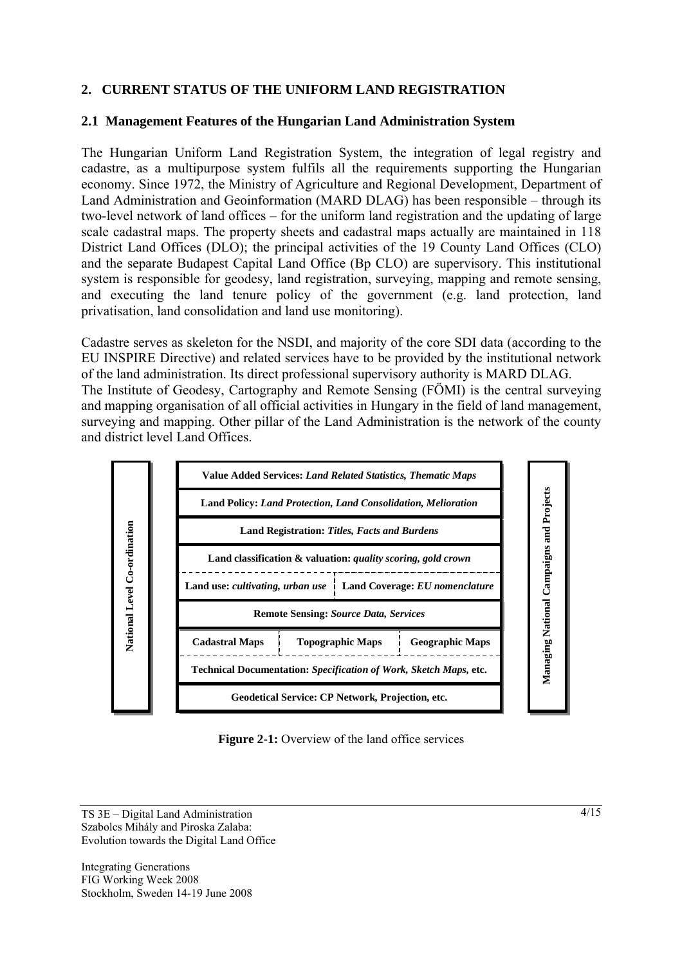## **2. CURRENT STATUS OF THE UNIFORM LAND REGISTRATION**

#### **2.1 Management Features of the Hungarian Land Administration System**

The Hungarian Uniform Land Registration System, the integration of legal registry and cadastre, as a multipurpose system fulfils all the requirements supporting the Hungarian economy. Since 1972, the Ministry of Agriculture and Regional Development, Department of Land Administration and Geoinformation (MARD DLAG) has been responsible – through its two-level network of land offices – for the uniform land registration and the updating of large scale cadastral maps. The property sheets and cadastral maps actually are maintained in 118 District Land Offices (DLO); the principal activities of the 19 County Land Offices (CLO) and the separate Budapest Capital Land Office (Bp CLO) are supervisory. This institutional system is responsible for geodesy, land registration, surveying, mapping and remote sensing, and executing the land tenure policy of the government (e.g. land protection, land privatisation, land consolidation and land use monitoring).

Cadastre serves as skeleton for the NSDI, and majority of the core SDI data (according to the EU INSPIRE Directive) and related services have to be provided by the institutional network of the land administration. Its direct professional supervisory authority is MARD DLAG. The Institute of Geodesy, Cartography and Remote Sensing (FÖMI) is the central surveying and mapping organisation of all official activities in Hungary in the field of land management, surveying and mapping. Other pillar of the Land Administration is the network of the county and district level Land Offices.



**Figure 2-1:** Overview of the land office services

TS 3E – Digital Land Administration Szabolcs Mihály and Piroska Zalaba: Evolution towards the Digital Land Office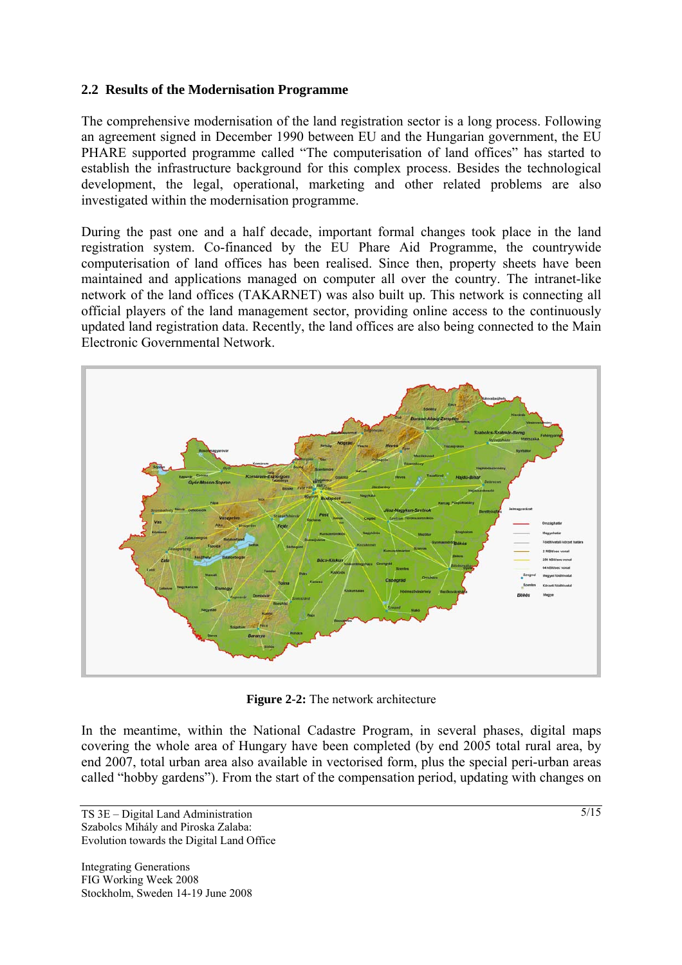#### **2.2 Results of the Modernisation Programme**

The comprehensive modernisation of the land registration sector is a long process. Following an agreement signed in December 1990 between EU and the Hungarian government, the EU PHARE supported programme called "The computerisation of land offices" has started to establish the infrastructure background for this complex process. Besides the technological development, the legal, operational, marketing and other related problems are also investigated within the modernisation programme.

During the past one and a half decade, important formal changes took place in the land registration system. Co-financed by the EU Phare Aid Programme, the countrywide computerisation of land offices has been realised. Since then, property sheets have been maintained and applications managed on computer all over the country. The intranet-like network of the land offices (TAKARNET) was also built up. This network is connecting all official players of the land management sector, providing online access to the continuously updated land registration data. Recently, the land offices are also being connected to the Main Electronic Governmental Network.



**Figure 2-2:** The network architecture

In the meantime, within the National Cadastre Program, in several phases, digital maps covering the whole area of Hungary have been completed (by end 2005 total rural area, by end 2007, total urban area also available in vectorised form, plus the special peri-urban areas called "hobby gardens"). From the start of the compensation period, updating with changes on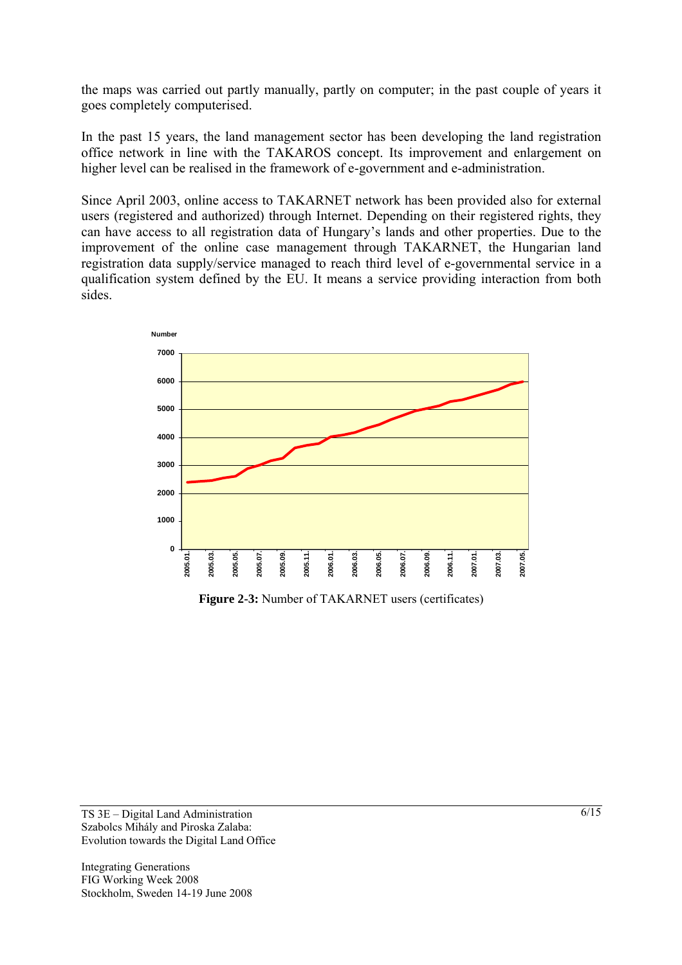the maps was carried out partly manually, partly on computer; in the past couple of years it goes completely computerised.

In the past 15 years, the land management sector has been developing the land registration office network in line with the TAKAROS concept. Its improvement and enlargement on higher level can be realised in the framework of e-government and e-administration.

Since April 2003, online access to TAKARNET network has been provided also for external users (registered and authorized) through Internet. Depending on their registered rights, they can have access to all registration data of Hungary's lands and other properties. Due to the improvement of the online case management through TAKARNET, the Hungarian land registration data supply/service managed to reach third level of e-governmental service in a qualification system defined by the EU. It means a service providing interaction from both sides.



**Figure 2-3:** Number of TAKARNET users (certificates)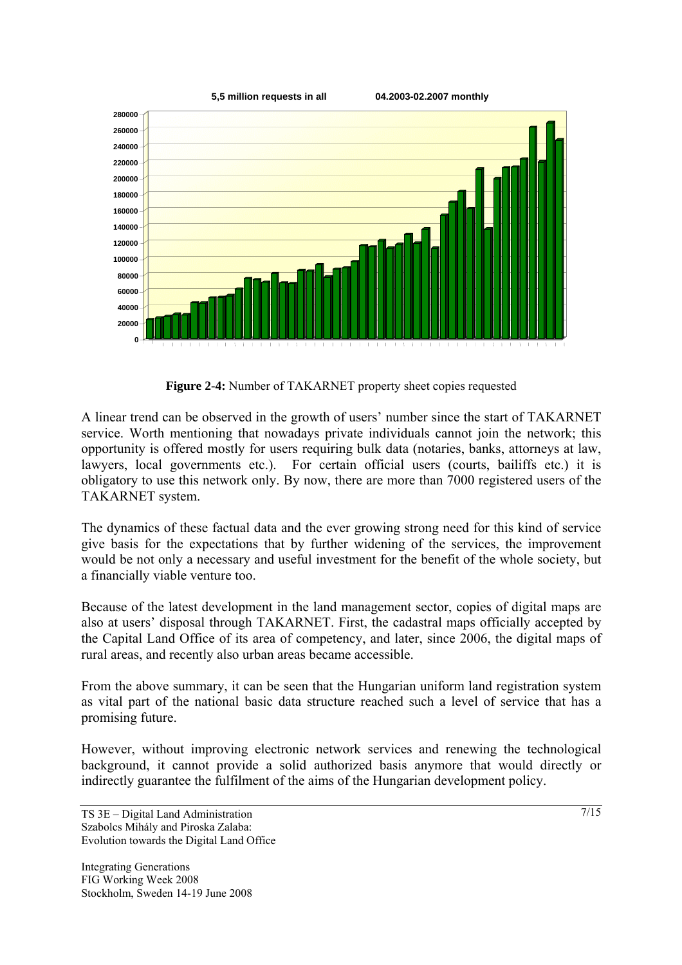

**Figure 2-4:** Number of TAKARNET property sheet copies requested

A linear trend can be observed in the growth of users' number since the start of TAKARNET service. Worth mentioning that nowadays private individuals cannot join the network; this opportunity is offered mostly for users requiring bulk data (notaries, banks, attorneys at law, lawyers, local governments etc.). For certain official users (courts, bailiffs etc.) it is obligatory to use this network only. By now, there are more than 7000 registered users of the TAKARNET system.

The dynamics of these factual data and the ever growing strong need for this kind of service give basis for the expectations that by further widening of the services, the improvement would be not only a necessary and useful investment for the benefit of the whole society, but a financially viable venture too.

Because of the latest development in the land management sector, copies of digital maps are also at users' disposal through TAKARNET. First, the cadastral maps officially accepted by the Capital Land Office of its area of competency, and later, since 2006, the digital maps of rural areas, and recently also urban areas became accessible.

From the above summary, it can be seen that the Hungarian uniform land registration system as vital part of the national basic data structure reached such a level of service that has a promising future.

However, without improving electronic network services and renewing the technological background, it cannot provide a solid authorized basis anymore that would directly or indirectly guarantee the fulfilment of the aims of the Hungarian development policy.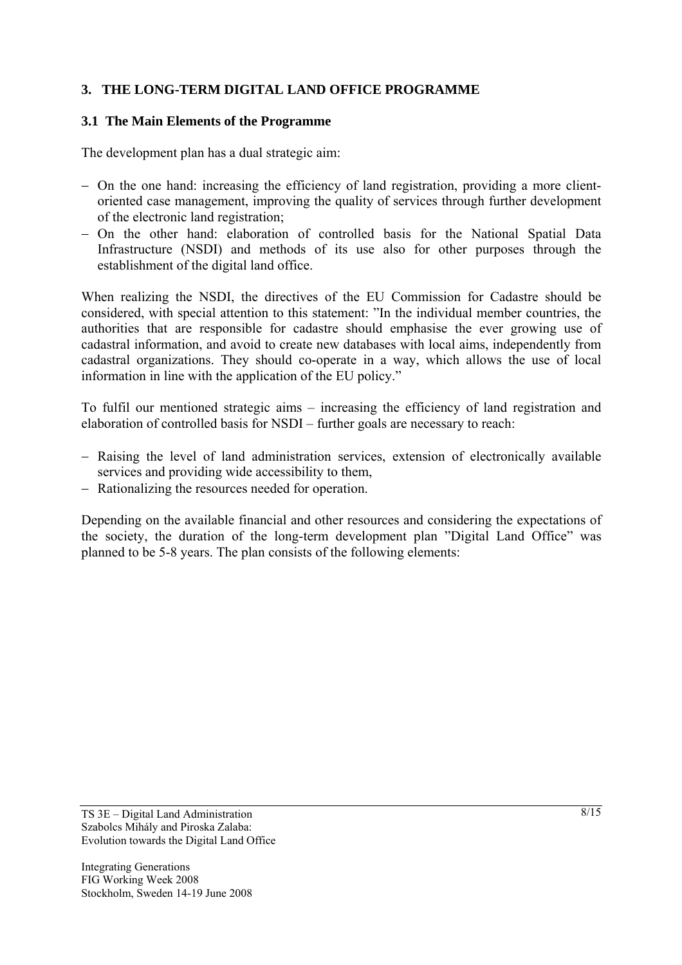## **3. THE LONG-TERM DIGITAL LAND OFFICE PROGRAMME**

#### **3.1 The Main Elements of the Programme**

The development plan has a dual strategic aim:

- − On the one hand: increasing the efficiency of land registration, providing a more clientoriented case management, improving the quality of services through further development of the electronic land registration;
- − On the other hand: elaboration of controlled basis for the National Spatial Data Infrastructure (NSDI) and methods of its use also for other purposes through the establishment of the digital land office.

When realizing the NSDI, the directives of the EU Commission for Cadastre should be considered, with special attention to this statement: "In the individual member countries, the authorities that are responsible for cadastre should emphasise the ever growing use of cadastral information, and avoid to create new databases with local aims, independently from cadastral organizations. They should co-operate in a way, which allows the use of local information in line with the application of the EU policy."

To fulfil our mentioned strategic aims – increasing the efficiency of land registration and elaboration of controlled basis for NSDI – further goals are necessary to reach:

- − Raising the level of land administration services, extension of electronically available services and providing wide accessibility to them,
- − Rationalizing the resources needed for operation.

Depending on the available financial and other resources and considering the expectations of the society, the duration of the long-term development plan "Digital Land Office" was planned to be 5-8 years. The plan consists of the following elements: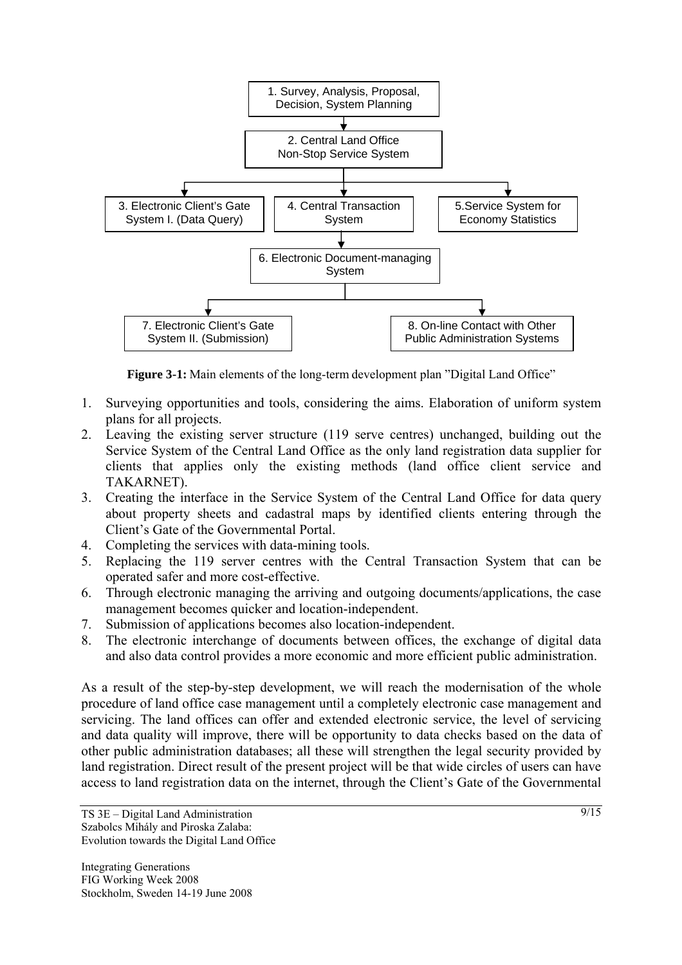

**Figure 3-1:** Main elements of the long-term development plan "Digital Land Office"

- 1. Surveying opportunities and tools, considering the aims. Elaboration of uniform system plans for all projects.
- 2. Leaving the existing server structure (119 serve centres) unchanged, building out the Service System of the Central Land Office as the only land registration data supplier for clients that applies only the existing methods (land office client service and TAKARNET).
- 3. Creating the interface in the Service System of the Central Land Office for data query about property sheets and cadastral maps by identified clients entering through the Client's Gate of the Governmental Portal.
- 4. Completing the services with data-mining tools.
- 5. Replacing the 119 server centres with the Central Transaction System that can be operated safer and more cost-effective.
- 6. Through electronic managing the arriving and outgoing documents/applications, the case management becomes quicker and location-independent.
- 7. Submission of applications becomes also location-independent.
- 8. The electronic interchange of documents between offices, the exchange of digital data and also data control provides a more economic and more efficient public administration.

As a result of the step-by-step development, we will reach the modernisation of the whole procedure of land office case management until a completely electronic case management and servicing. The land offices can offer and extended electronic service, the level of servicing and data quality will improve, there will be opportunity to data checks based on the data of other public administration databases; all these will strengthen the legal security provided by land registration. Direct result of the present project will be that wide circles of users can have access to land registration data on the internet, through the Client's Gate of the Governmental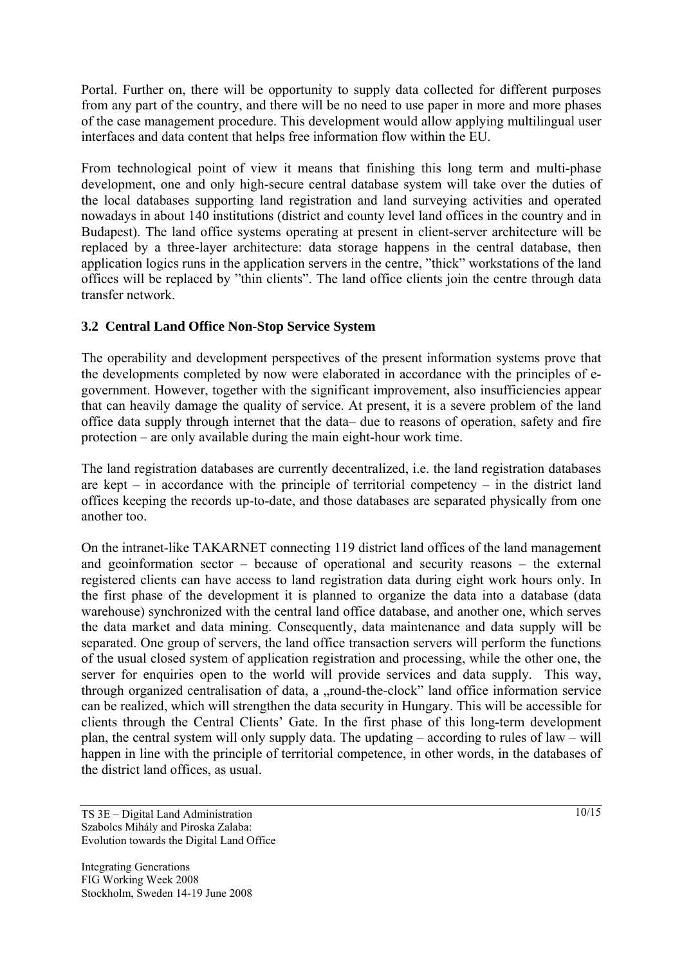Portal. Further on, there will be opportunity to supply data collected for different purposes from any part of the country, and there will be no need to use paper in more and more phases of the case management procedure. This development would allow applying multilingual user interfaces and data content that helps free information flow within the EU.

From technological point of view it means that finishing this long term and multi-phase development, one and only high-secure central database system will take over the duties of the local databases supporting land registration and land surveying activities and operated nowadays in about 140 institutions (district and county level land offices in the country and in Budapest). The land office systems operating at present in client-server architecture will be replaced by a three-layer architecture: data storage happens in the central database, then application logics runs in the application servers in the centre, "thick" workstations of the land offices will be replaced by "thin clients". The land office clients join the centre through data transfer network.

## **3.2 Central Land Office Non-Stop Service System**

The operability and development perspectives of the present information systems prove that the developments completed by now were elaborated in accordance with the principles of egovernment. However, together with the significant improvement, also insufficiencies appear that can heavily damage the quality of service. At present, it is a severe problem of the land office data supply through internet that the data– due to reasons of operation, safety and fire protection – are only available during the main eight-hour work time.

The land registration databases are currently decentralized, i.e. the land registration databases are kept – in accordance with the principle of territorial competency – in the district land offices keeping the records up-to-date, and those databases are separated physically from one another too.

On the intranet-like TAKARNET connecting 119 district land offices of the land management and geoinformation sector – because of operational and security reasons – the external registered clients can have access to land registration data during eight work hours only. In the first phase of the development it is planned to organize the data into a database (data warehouse) synchronized with the central land office database, and another one, which serves the data market and data mining. Consequently, data maintenance and data supply will be separated. One group of servers, the land office transaction servers will perform the functions of the usual closed system of application registration and processing, while the other one, the server for enquiries open to the world will provide services and data supply. This way, through organized centralisation of data, a "round-the-clock" land office information service can be realized, which will strengthen the data security in Hungary. This will be accessible for clients through the Central Clients' Gate. In the first phase of this long-term development plan, the central system will only supply data. The updating – according to rules of law – will happen in line with the principle of territorial competence, in other words, in the databases of the district land offices, as usual.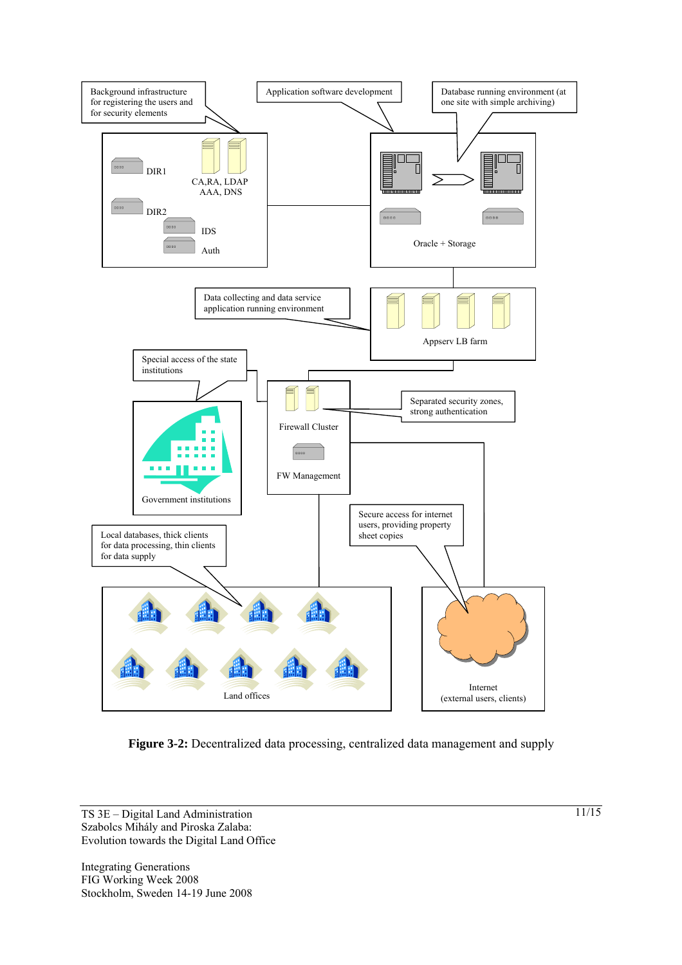

**Figure 3-2:** Decentralized data processing, centralized data management and supply

TS 3E – Digital Land Administration Szabolcs Mihály and Piroska Zalaba: Evolution towards the Digital Land Office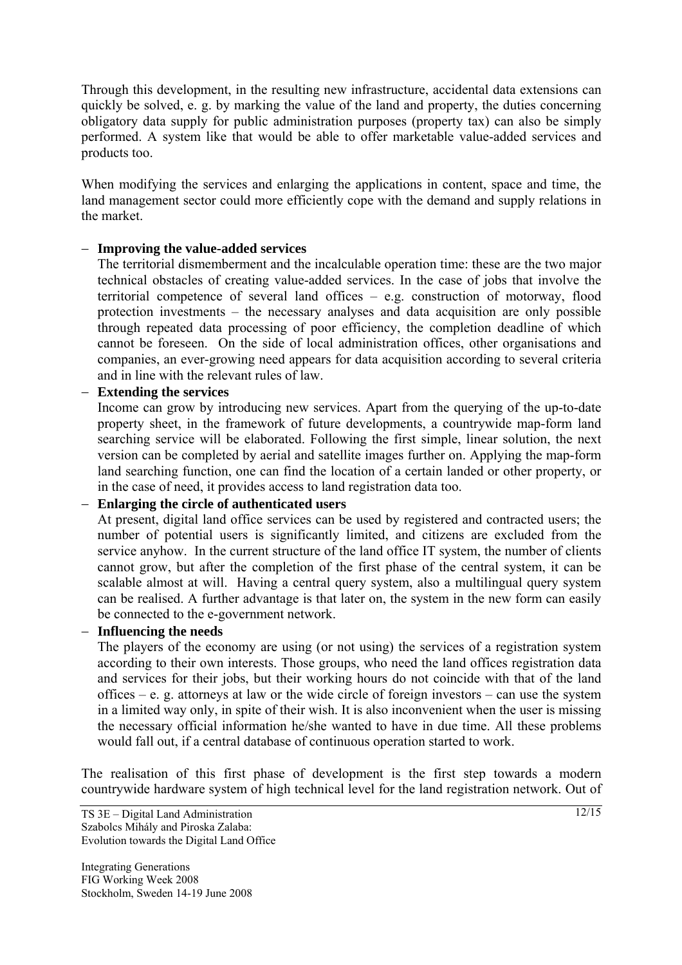Through this development, in the resulting new infrastructure, accidental data extensions can quickly be solved, e. g. by marking the value of the land and property, the duties concerning obligatory data supply for public administration purposes (property tax) can also be simply performed. A system like that would be able to offer marketable value-added services and products too.

When modifying the services and enlarging the applications in content, space and time, the land management sector could more efficiently cope with the demand and supply relations in the market.

## − **Improving the value-added services**

The territorial dismemberment and the incalculable operation time: these are the two major technical obstacles of creating value-added services. In the case of jobs that involve the territorial competence of several land offices – e.g. construction of motorway, flood protection investments – the necessary analyses and data acquisition are only possible through repeated data processing of poor efficiency, the completion deadline of which cannot be foreseen. On the side of local administration offices, other organisations and companies, an ever-growing need appears for data acquisition according to several criteria and in line with the relevant rules of law.

− **Extending the services** 

Income can grow by introducing new services. Apart from the querying of the up-to-date property sheet, in the framework of future developments, a countrywide map-form land searching service will be elaborated. Following the first simple, linear solution, the next version can be completed by aerial and satellite images further on. Applying the map-form land searching function, one can find the location of a certain landed or other property, or in the case of need, it provides access to land registration data too.

#### − **Enlarging the circle of authenticated users**

At present, digital land office services can be used by registered and contracted users; the number of potential users is significantly limited, and citizens are excluded from the service anyhow. In the current structure of the land office IT system, the number of clients cannot grow, but after the completion of the first phase of the central system, it can be scalable almost at will. Having a central query system, also a multilingual query system can be realised. A further advantage is that later on, the system in the new form can easily be connected to the e-government network.

#### − **Influencing the needs**

The players of the economy are using (or not using) the services of a registration system according to their own interests. Those groups, who need the land offices registration data and services for their jobs, but their working hours do not coincide with that of the land offices – e. g. attorneys at law or the wide circle of foreign investors – can use the system in a limited way only, in spite of their wish. It is also inconvenient when the user is missing the necessary official information he/she wanted to have in due time. All these problems would fall out, if a central database of continuous operation started to work.

The realisation of this first phase of development is the first step towards a modern countrywide hardware system of high technical level for the land registration network. Out of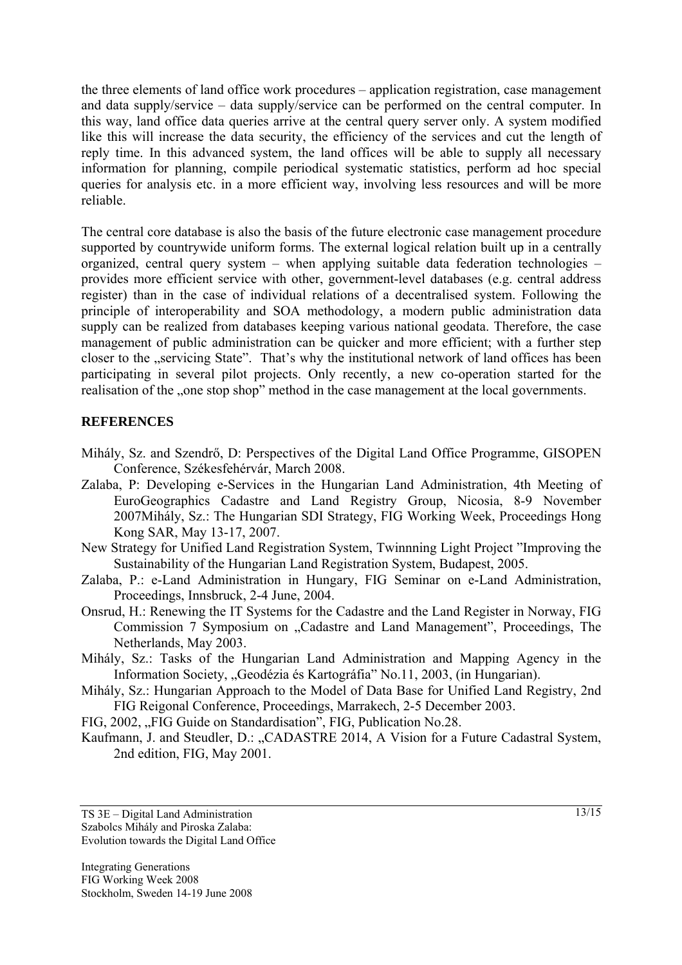the three elements of land office work procedures – application registration, case management and data supply/service – data supply/service can be performed on the central computer. In this way, land office data queries arrive at the central query server only. A system modified like this will increase the data security, the efficiency of the services and cut the length of reply time. In this advanced system, the land offices will be able to supply all necessary information for planning, compile periodical systematic statistics, perform ad hoc special queries for analysis etc. in a more efficient way, involving less resources and will be more reliable.

The central core database is also the basis of the future electronic case management procedure supported by countrywide uniform forms. The external logical relation built up in a centrally organized, central query system – when applying suitable data federation technologies – provides more efficient service with other, government-level databases (e.g. central address register) than in the case of individual relations of a decentralised system. Following the principle of interoperability and SOA methodology, a modern public administration data supply can be realized from databases keeping various national geodata. Therefore, the case management of public administration can be quicker and more efficient; with a further step closer to the "servicing State". That's why the institutional network of land offices has been participating in several pilot projects. Only recently, a new co-operation started for the realisation of the "one stop shop" method in the case management at the local governments.

#### **REFERENCES**

- Mihály, Sz. and Szendrő, D: Perspectives of the Digital Land Office Programme, GISOPEN Conference, Székesfehérvár, March 2008.
- Zalaba, P: Developing e-Services in the Hungarian Land Administration, 4th Meeting of EuroGeographics Cadastre and Land Registry Group, Nicosia, 8-9 November 2007Mihály, Sz.: The Hungarian SDI Strategy, FIG Working Week, Proceedings Hong Kong SAR, May 13-17, 2007.
- New Strategy for Unified Land Registration System, Twinnning Light Project "Improving the Sustainability of the Hungarian Land Registration System, Budapest, 2005.
- Zalaba, P.: e-Land Administration in Hungary, FIG Seminar on e-Land Administration, Proceedings, Innsbruck, 2-4 June, 2004.
- Onsrud, H.: Renewing the IT Systems for the Cadastre and the Land Register in Norway, FIG Commission 7 Symposium on "Cadastre and Land Management", Proceedings, The Netherlands, May 2003.
- Mihály, Sz.: Tasks of the Hungarian Land Administration and Mapping Agency in the Information Society, "Geodézia és Kartográfia" No.11, 2003, (in Hungarian).
- Mihály, Sz.: Hungarian Approach to the Model of Data Base for Unified Land Registry, 2nd FIG Reigonal Conference, Proceedings, Marrakech, 2-5 December 2003.
- FIG, 2002, "FIG Guide on Standardisation", FIG, Publication No.28.
- Kaufmann, J. and Steudler, D.: "CADASTRE 2014, A Vision for a Future Cadastral System, 2nd edition, FIG, May 2001.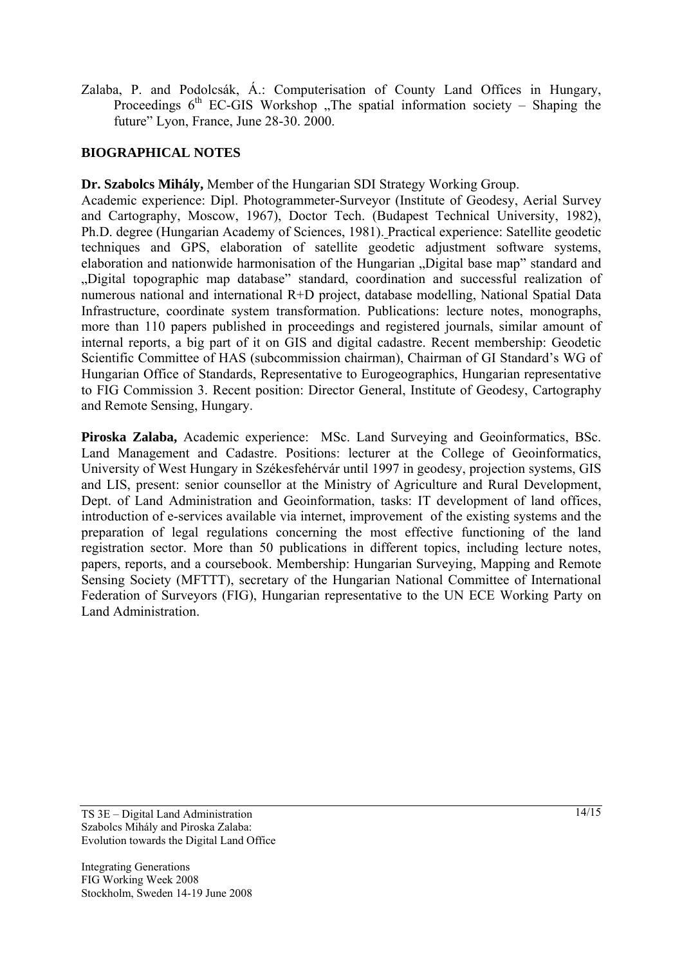Zalaba, P. and Podolcsák, Á.: Computerisation of County Land Offices in Hungary, Proceedings  $6<sup>th</sup>$  EC-GIS Workshop . The spatial information society – Shaping the future" Lyon, France, June 28-30. 2000.

## **BIOGRAPHICAL NOTES**

**Dr. Szabolcs Mihály,** Member of the Hungarian SDI Strategy Working Group.

Academic experience: Dipl. Photogrammeter-Surveyor (Institute of Geodesy, Aerial Survey and Cartography, Moscow, 1967), Doctor Tech. (Budapest Technical University, 1982), Ph.D. degree (Hungarian Academy of Sciences, 1981). Practical experience: Satellite geodetic techniques and GPS, elaboration of satellite geodetic adjustment software systems, elaboration and nationwide harmonisation of the Hungarian "Digital base map" standard and "Digital topographic map database" standard, coordination and successful realization of numerous national and international R+D project, database modelling, National Spatial Data Infrastructure, coordinate system transformation. Publications: lecture notes, monographs, more than 110 papers published in proceedings and registered journals, similar amount of internal reports, a big part of it on GIS and digital cadastre. Recent membership: Geodetic Scientific Committee of HAS (subcommission chairman), Chairman of GI Standard's WG of Hungarian Office of Standards, Representative to Eurogeographics, Hungarian representative to FIG Commission 3. Recent position: Director General, Institute of Geodesy, Cartography and Remote Sensing, Hungary.

**Piroska Zalaba,** Academic experience: MSc. Land Surveying and Geoinformatics, BSc. Land Management and Cadastre. Positions: lecturer at the College of Geoinformatics, University of West Hungary in Székesfehérvár until 1997 in geodesy, projection systems, GIS and LIS, present: senior counsellor at the Ministry of Agriculture and Rural Development, Dept. of Land Administration and Geoinformation, tasks: IT development of land offices, introduction of e-services available via internet, improvement of the existing systems and the preparation of legal regulations concerning the most effective functioning of the land registration sector. More than 50 publications in different topics, including lecture notes, papers, reports, and a coursebook. Membership: Hungarian Surveying, Mapping and Remote Sensing Society (MFTTT), secretary of the Hungarian National Committee of International Federation of Surveyors (FIG), Hungarian representative to the UN ECE Working Party on Land Administration.

TS 3E – Digital Land Administration Szabolcs Mihály and Piroska Zalaba: Evolution towards the Digital Land Office